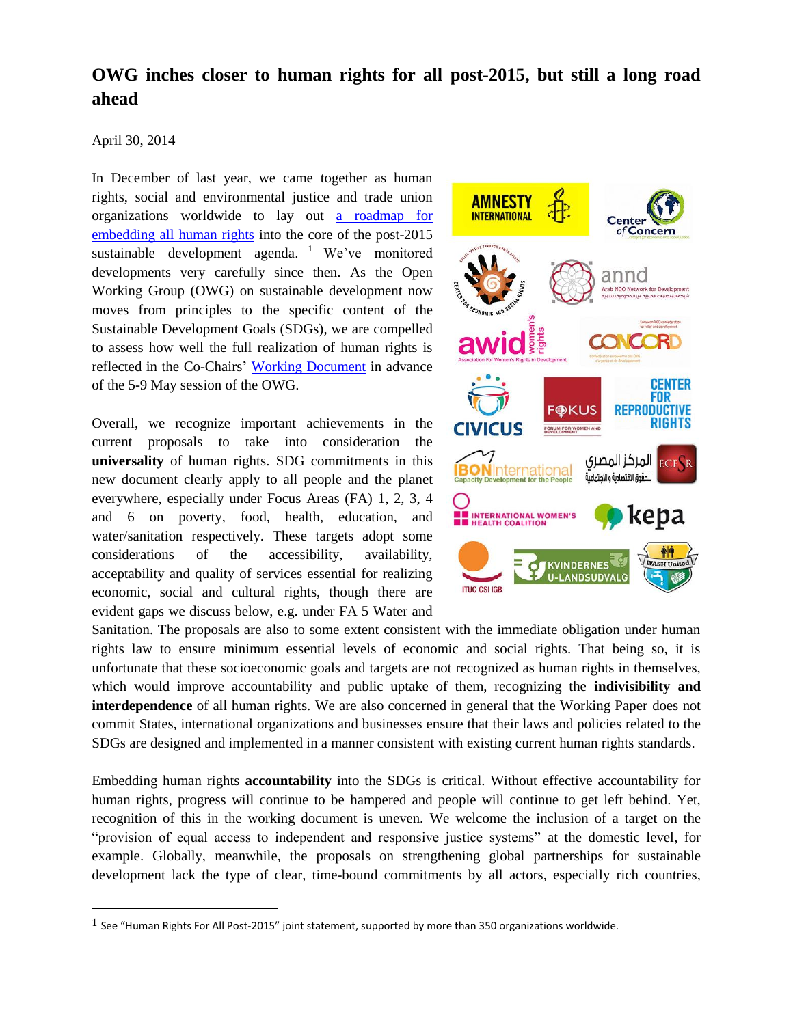# **OWG inches closer to human rights for all post-2015, but still a long road ahead**

#### April 30, 2014

 $\overline{a}$ 

In December of last year, we came together as human rights, social and environmental justice and trade union organizations worldwide to lay out [a roadmap](http://cesr.org/downloads/HRsforAll.joint.statement.feb27.pdf?preview=1) for [embedding all human rights](http://cesr.org/downloads/HRsforAll.joint.statement.feb27.pdf?preview=1) into the core of the post-2015 sustainable development agenda. <sup>1</sup> We've monitored developments very carefully since then. As the Open Working Group (OWG) on sustainable development now moves from principles to the specific content of the Sustainable Development Goals (SDGs), we are compelled to assess how well the full realization of human rights is reflected in the Co-Chairs' [Working Document](http://sustainabledevelopment.un.org/content/documents/3686Workingdoc.pdf) in advance of the 5-9 May session of the OWG.

Overall, we recognize important achievements in the current proposals to take into consideration the **universality** of human rights. SDG commitments in this new document clearly apply to all people and the planet everywhere, especially under Focus Areas (FA) 1, 2, 3, 4 and 6 on poverty, food, health, education, and water/sanitation respectively. These targets adopt some considerations of the accessibility, availability, acceptability and quality of services essential for realizing economic, social and cultural rights, though there are evident gaps we discuss below, e.g. under FA 5 Water and



Sanitation. The proposals are also to some extent consistent with the immediate obligation under human rights law to ensure minimum essential levels of economic and social rights. That being so, it is unfortunate that these socioeconomic goals and targets are not recognized as human rights in themselves, which would improve accountability and public uptake of them, recognizing the **indivisibility and interdependence** of all human rights. We are also concerned in general that the Working Paper does not commit States, international organizations and businesses ensure that their laws and policies related to the SDGs are designed and implemented in a manner consistent with existing current human rights standards.

Embedding human rights **accountability** into the SDGs is critical. Without effective accountability for human rights, progress will continue to be hampered and people will continue to get left behind. Yet, recognition of this in the working document is uneven. We welcome the inclusion of a target on the "provision of equal access to independent and responsive justice systems" at the domestic level, for example. Globally, meanwhile, the proposals on strengthening global partnerships for sustainable development lack the type of clear, time-bound commitments by all actors, especially rich countries,

 $1$  See "Human Rights For All Post-2015" joint statement, supported by more than 350 organizations worldwide.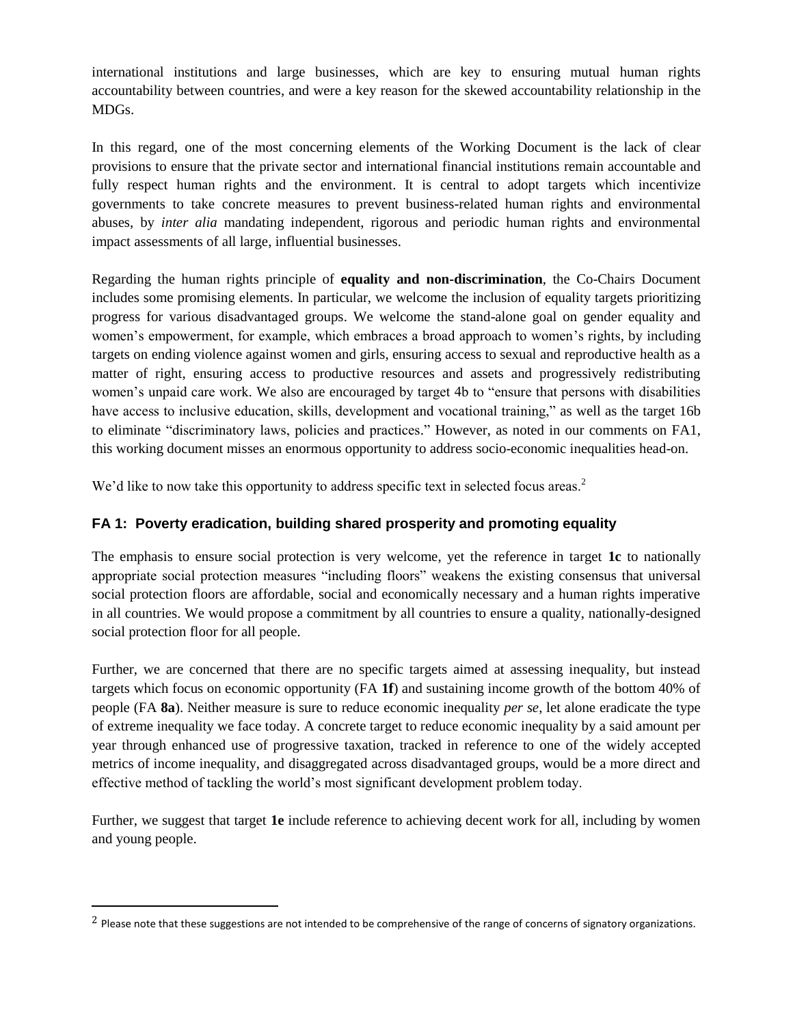international institutions and large businesses, which are key to ensuring mutual human rights accountability between countries, and were a key reason for the skewed accountability relationship in the MDGs.

In this regard, one of the most concerning elements of the Working Document is the lack of clear provisions to ensure that the private sector and international financial institutions remain accountable and fully respect human rights and the environment. It is central to adopt targets which incentivize governments to take concrete measures to prevent business-related human rights and environmental abuses, by *inter alia* mandating independent, rigorous and periodic human rights and environmental impact assessments of all large, influential businesses.

Regarding the human rights principle of **equality and non-discrimination**, the Co-Chairs Document includes some promising elements. In particular, we welcome the inclusion of equality targets prioritizing progress for various disadvantaged groups. We welcome the stand-alone goal on gender equality and women's empowerment, for example, which embraces a broad approach to women's rights, by including targets on ending violence against women and girls, ensuring access to sexual and reproductive health as a matter of right, ensuring access to productive resources and assets and progressively redistributing women's unpaid care work. We also are encouraged by target 4b to "ensure that persons with disabilities have access to inclusive education, skills, development and vocational training," as well as the target 16b to eliminate "discriminatory laws, policies and practices." However, as noted in our comments on FA1, this working document misses an enormous opportunity to address socio-economic inequalities head-on.

We'd like to now take this opportunity to address specific text in selected focus areas.<sup>2</sup>

## **FA 1: Poverty eradication, building shared prosperity and promoting equality**

The emphasis to ensure social protection is very welcome, yet the reference in target **1c** to nationally appropriate social protection measures "including floors" weakens the existing consensus that universal social protection floors are affordable, social and economically necessary and a human rights imperative in all countries. We would propose a commitment by all countries to ensure a quality, nationally-designed social protection floor for all people.

Further, we are concerned that there are no specific targets aimed at assessing inequality, but instead targets which focus on economic opportunity (FA **1f**) and sustaining income growth of the bottom 40% of people (FA **8a**). Neither measure is sure to reduce economic inequality *per se*, let alone eradicate the type of extreme inequality we face today. A concrete target to reduce economic inequality by a said amount per year through enhanced use of progressive taxation, tracked in reference to one of the widely accepted metrics of income inequality, and disaggregated across disadvantaged groups, would be a more direct and effective method of tackling the world's most significant development problem today.

Further, we suggest that target **1e** include reference to achieving decent work for all, including by women and young people.

 $\overline{a}$ 

<sup>&</sup>lt;sup>2</sup> Please note that these suggestions are not intended to be comprehensive of the range of concerns of signatory organizations.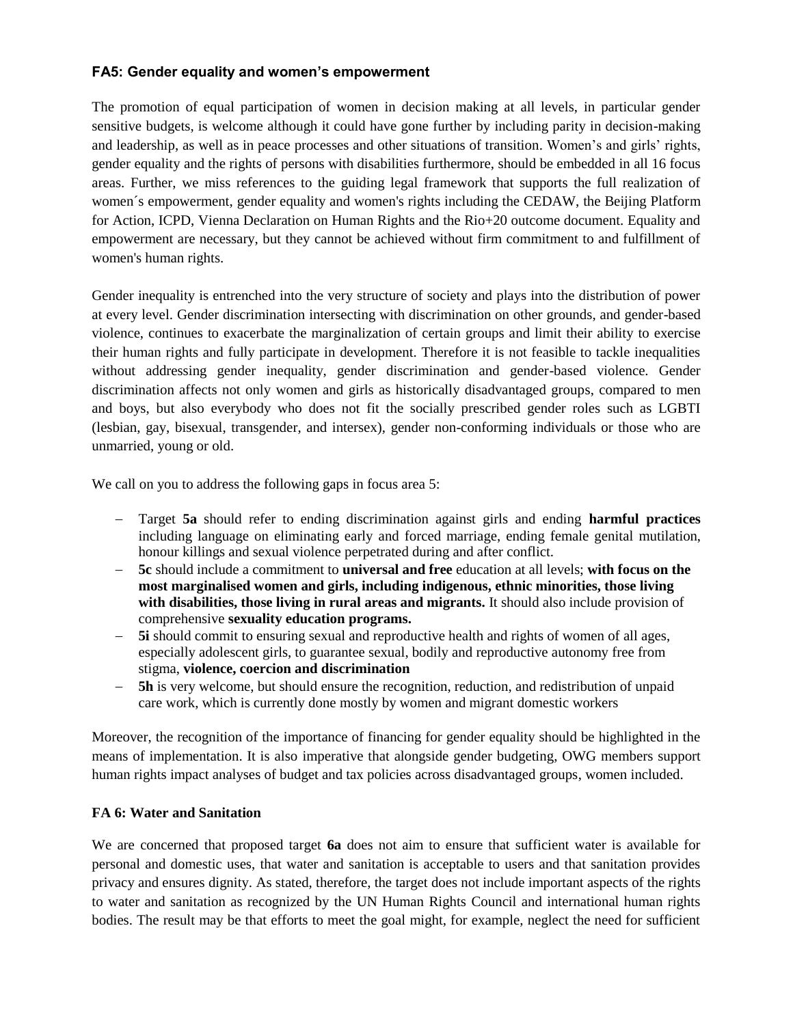## **FA5: Gender equality and women's empowerment**

The promotion of equal participation of women in decision making at all levels, in particular gender sensitive budgets, is welcome although it could have gone further by including parity in decision-making and leadership, as well as in peace processes and other situations of transition. Women's and girls' rights, gender equality and the rights of persons with disabilities furthermore, should be embedded in all 16 focus areas. Further, we miss references to the guiding legal framework that supports the full realization of women´s empowerment, gender equality and women's rights including the CEDAW, the Beijing Platform for Action, ICPD, Vienna Declaration on Human Rights and the Rio+20 outcome document. Equality and empowerment are necessary, but they cannot be achieved without firm commitment to and fulfillment of women's human rights.

Gender inequality is entrenched into the very structure of society and plays into the distribution of power at every level. Gender discrimination intersecting with discrimination on other grounds, and gender-based violence, continues to exacerbate the marginalization of certain groups and limit their ability to exercise their human rights and fully participate in development. Therefore it is not feasible to tackle inequalities without addressing gender inequality, gender discrimination and gender-based violence. Gender discrimination affects not only women and girls as historically disadvantaged groups, compared to men and boys, but also everybody who does not fit the socially prescribed gender roles such as LGBTI (lesbian, gay, bisexual, transgender, and intersex), gender non-conforming individuals or those who are unmarried, young or old.

We call on you to address the following gaps in focus area 5:

- Target **5a** should refer to ending discrimination against girls and ending **harmful practices**  including language on eliminating early and forced marriage, ending female genital mutilation, honour killings and sexual violence perpetrated during and after conflict.
- **5c** should include a commitment to **universal and free** education at all levels; **with focus on the most marginalised women and girls, including indigenous, ethnic minorities, those living with disabilities, those living in rural areas and migrants.** It should also include provision of comprehensive **sexuality education programs.**
- **5i** should commit to ensuring sexual and reproductive health and rights of women of all ages, especially adolescent girls, to guarantee sexual, bodily and reproductive autonomy free from stigma, **violence, coercion and discrimination**
- **5h** is very welcome, but should ensure the recognition, reduction, and redistribution of unpaid care work, which is currently done mostly by women and migrant domestic workers

Moreover, the recognition of the importance of financing for gender equality should be highlighted in the means of implementation. It is also imperative that alongside gender budgeting, OWG members support human rights impact analyses of budget and tax policies across disadvantaged groups, women included.

#### **FA 6: Water and Sanitation**

We are concerned that proposed target **6a** does not aim to ensure that sufficient water is available for personal and domestic uses, that water and sanitation is acceptable to users and that sanitation provides privacy and ensures dignity. As stated, therefore, the target does not include important aspects of the rights to water and sanitation as recognized by the UN Human Rights Council and international human rights bodies. The result may be that efforts to meet the goal might, for example, neglect the need for sufficient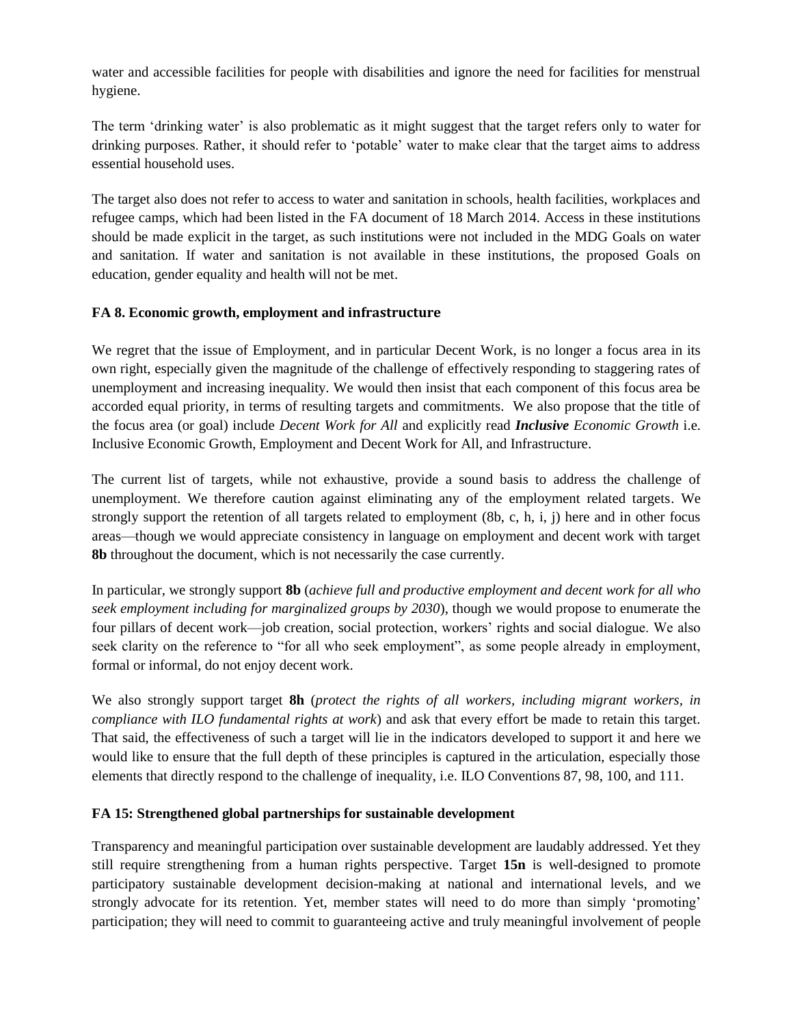water and accessible facilities for people with disabilities and ignore the need for facilities for menstrual hygiene.

The term 'drinking water' is also problematic as it might suggest that the target refers only to water for drinking purposes. Rather, it should refer to 'potable' water to make clear that the target aims to address essential household uses.

The target also does not refer to access to water and sanitation in schools, health facilities, workplaces and refugee camps, which had been listed in the FA document of 18 March 2014. Access in these institutions should be made explicit in the target, as such institutions were not included in the MDG Goals on water and sanitation. If water and sanitation is not available in these institutions, the proposed Goals on education, gender equality and health will not be met.

## **FA 8. Economic growth, employment and infrastructure**

We regret that the issue of Employment, and in particular Decent Work, is no longer a focus area in its own right, especially given the magnitude of the challenge of effectively responding to staggering rates of unemployment and increasing inequality. We would then insist that each component of this focus area be accorded equal priority, in terms of resulting targets and commitments. We also propose that the title of the focus area (or goal) include *Decent Work for All* and explicitly read *Inclusive Economic Growth* i.e. Inclusive Economic Growth, Employment and Decent Work for All, and Infrastructure.

The current list of targets, while not exhaustive, provide a sound basis to address the challenge of unemployment. We therefore caution against eliminating any of the employment related targets. We strongly support the retention of all targets related to employment (8b, c, h, i, j) here and in other focus areas—though we would appreciate consistency in language on employment and decent work with target **8b** throughout the document, which is not necessarily the case currently.

In particular, we strongly support **8b** (*achieve full and productive employment and decent work for all who seek employment including for marginalized groups by 2030*), though we would propose to enumerate the four pillars of decent work—job creation, social protection, workers' rights and social dialogue. We also seek clarity on the reference to "for all who seek employment", as some people already in employment, formal or informal, do not enjoy decent work.

We also strongly support target **8h** (*protect the rights of all workers, including migrant workers, in compliance with ILO fundamental rights at work*) and ask that every effort be made to retain this target. That said, the effectiveness of such a target will lie in the indicators developed to support it and here we would like to ensure that the full depth of these principles is captured in the articulation, especially those elements that directly respond to the challenge of inequality, i.e. ILO Conventions 87, 98, 100, and 111.

#### **FA 15: Strengthened global partnerships for sustainable development**

Transparency and meaningful participation over sustainable development are laudably addressed. Yet they still require strengthening from a human rights perspective. Target **15n** is well-designed to promote participatory sustainable development decision-making at national and international levels, and we strongly advocate for its retention. Yet, member states will need to do more than simply 'promoting' participation; they will need to commit to guaranteeing active and truly meaningful involvement of people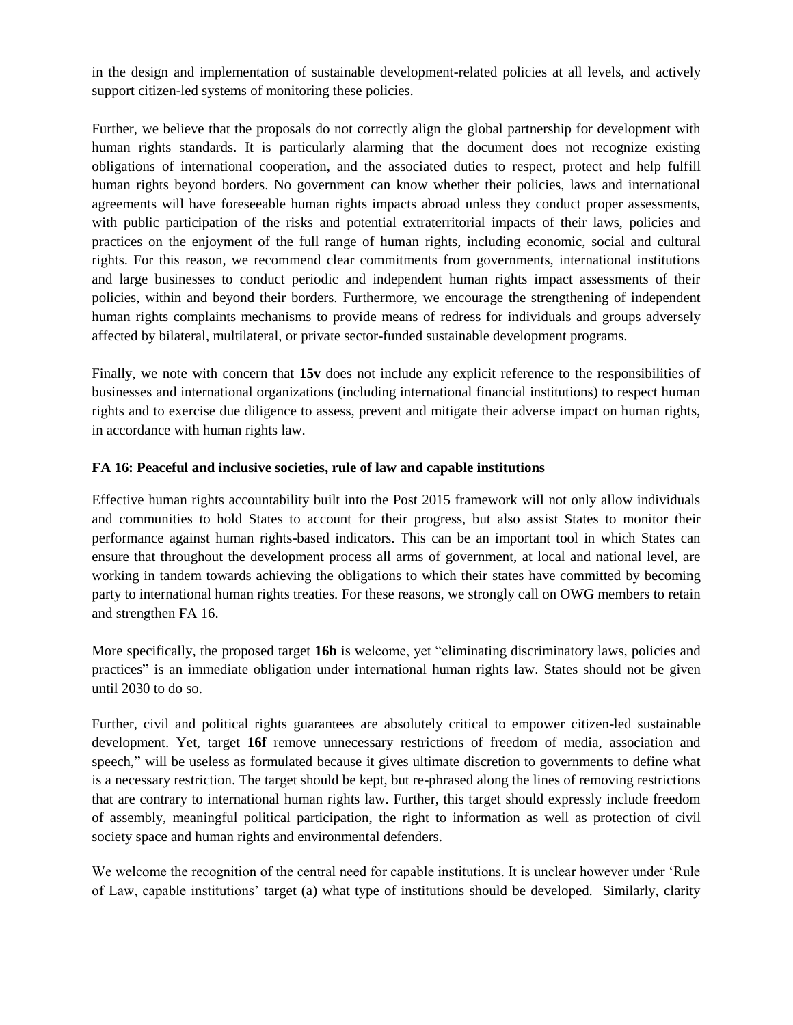in the design and implementation of sustainable development-related policies at all levels, and actively support citizen-led systems of monitoring these policies.

Further, we believe that the proposals do not correctly align the global partnership for development with human rights standards. It is particularly alarming that the document does not recognize existing obligations of international cooperation, and the associated duties to respect, protect and help fulfill human rights beyond borders. No government can know whether their policies, laws and international agreements will have foreseeable human rights impacts abroad unless they conduct proper assessments, with public participation of the risks and potential extraterritorial impacts of their laws, policies and practices on the enjoyment of the full range of human rights, including economic, social and cultural rights. For this reason, we recommend clear commitments from governments, international institutions and large businesses to conduct periodic and independent human rights impact assessments of their policies, within and beyond their borders. Furthermore, we encourage the strengthening of independent human rights complaints mechanisms to provide means of redress for individuals and groups adversely affected by bilateral, multilateral, or private sector-funded sustainable development programs.

Finally, we note with concern that **15v** does not include any explicit reference to the responsibilities of businesses and international organizations (including international financial institutions) to respect human rights and to exercise due diligence to assess, prevent and mitigate their adverse impact on human rights, in accordance with human rights law.

#### **FA 16: Peaceful and inclusive societies, rule of law and capable institutions**

Effective human rights accountability built into the Post 2015 framework will not only allow individuals and communities to hold States to account for their progress, but also assist States to monitor their performance against human rights-based indicators. This can be an important tool in which States can ensure that throughout the development process all arms of government, at local and national level, are working in tandem towards achieving the obligations to which their states have committed by becoming party to international human rights treaties. For these reasons, we strongly call on OWG members to retain and strengthen FA 16.

More specifically, the proposed target **16b** is welcome, yet "eliminating discriminatory laws, policies and practices" is an immediate obligation under international human rights law. States should not be given until 2030 to do so.

Further, civil and political rights guarantees are absolutely critical to empower citizen-led sustainable development. Yet, target **16f** remove unnecessary restrictions of freedom of media, association and speech," will be useless as formulated because it gives ultimate discretion to governments to define what is a necessary restriction. The target should be kept, but re-phrased along the lines of removing restrictions that are contrary to international human rights law. Further, this target should expressly include freedom of assembly, meaningful political participation, the right to information as well as protection of civil society space and human rights and environmental defenders.

We welcome the recognition of the central need for capable institutions. It is unclear however under 'Rule of Law, capable institutions' target (a) what type of institutions should be developed. Similarly, clarity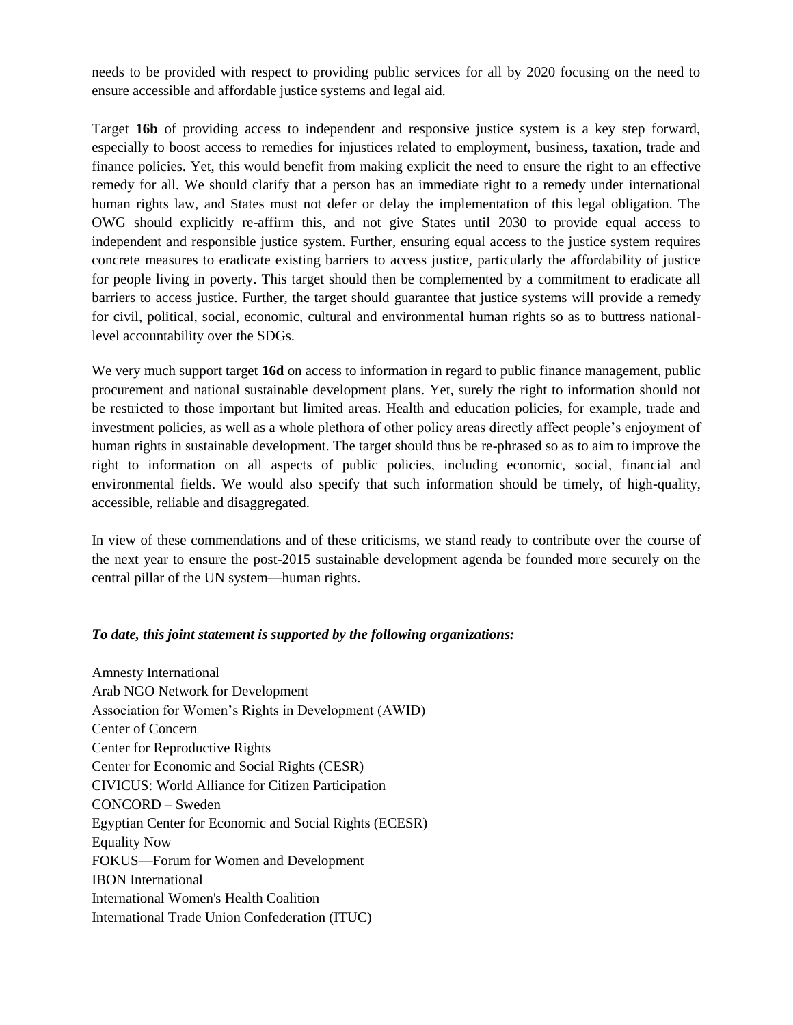needs to be provided with respect to providing public services for all by 2020 focusing on the need to ensure accessible and affordable justice systems and legal aid.

Target **16b** of providing access to independent and responsive justice system is a key step forward, especially to boost access to remedies for injustices related to employment, business, taxation, trade and finance policies. Yet, this would benefit from making explicit the need to ensure the right to an effective remedy for all. We should clarify that a person has an immediate right to a remedy under international human rights law, and States must not defer or delay the implementation of this legal obligation. The OWG should explicitly re-affirm this, and not give States until 2030 to provide equal access to independent and responsible justice system. Further, ensuring equal access to the justice system requires concrete measures to eradicate existing barriers to access justice, particularly the affordability of justice for people living in poverty. This target should then be complemented by a commitment to eradicate all barriers to access justice. Further, the target should guarantee that justice systems will provide a remedy for civil, political, social, economic, cultural and environmental human rights so as to buttress nationallevel accountability over the SDGs.

We very much support target **16d** on access to information in regard to public finance management, public procurement and national sustainable development plans. Yet, surely the right to information should not be restricted to those important but limited areas. Health and education policies, for example, trade and investment policies, as well as a whole plethora of other policy areas directly affect people's enjoyment of human rights in sustainable development. The target should thus be re-phrased so as to aim to improve the right to information on all aspects of public policies, including economic, social, financial and environmental fields. We would also specify that such information should be timely, of high-quality, accessible, reliable and disaggregated.

In view of these commendations and of these criticisms, we stand ready to contribute over the course of the next year to ensure the post-2015 sustainable development agenda be founded more securely on the central pillar of the UN system—human rights.

#### *To date, this joint statement is supported by the following organizations:*

Amnesty International Arab NGO Network for Development Association for Women's Rights in Development (AWID) Center of Concern Center for Reproductive Rights Center for Economic and Social Rights (CESR) CIVICUS: World Alliance for Citizen Participation CONCORD – Sweden Egyptian Center for Economic and Social Rights (ECESR) Equality Now FOKUS—Forum for Women and Development IBON International International Women's Health Coalition International Trade Union Confederation (ITUC)